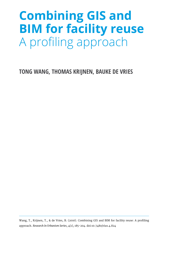# **Combining GIS and BIM for facility reuse** A profiling approach

**TONG WANG, THOMAS KRIJNEN, BAUKE DE VRIES**

Wang, T., Krijnen, T., & de Vries, B. (2016). Combining GIS and BIM for facility reuse: A profiling approach. *Research In Urbanism Series*, 4(1), 185-204. doi:10.7480/rius.4.824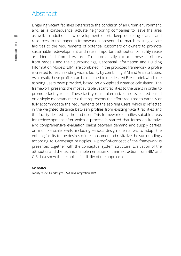# Abstract

Lingering vacant facilities deteriorate the condition of an urban environment, and, as a consequence, actuate neighboring companies to leave the area as well. In addition, new development efforts keep depleting scarce land resources. In this paper, a framework is presented to match existing vacant facilities to the requirements of potential customers or owners to promote sustainable redevelopment and reuse. Important attributes for facility reuse are identified from literature. To automatically extract these attributes from models and their surroundings, Geospatial information and Building Information Models (BIM) are combined. In the proposed framework, a profile is created for each existing vacant facility by combining BIM and GIS attributes. As a result, these profiles can be matched to the desired BIM model, which the aspiring users have provided, based on a weighted distance calculation. The framework presents the most suitable vacant facilities to the users in order to promote facility reuse. These facility reuse alternatives are evaluated based on a single monetary metric that represents the effort required to partially or fully accommodate the requirements of the aspiring users, which is reflected in the weighted distance between profiles from existing vacant facilities and the facility desired by the end-user. This framework identifies suitable areas for redevelopment after which a process is started that forms an iterative and comprehensive evaluation dialog between demand and supply parties, on multiple scale levels, including various design alternatives to adapt the existing facility to the desires of the consumer and revitalize the surroundings according to Geodesign principles. A proof-of-concept of the framework is presented together with the conceptual system structure. Evaluation of the attributes and the technical implementation of their extraction from BIM and GIS data show the technical feasibility of the approach.

#### **KEYWORDS**

Facility reuse; Geodesign; GIS & BIM integration; BIM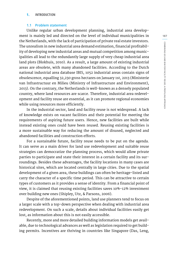#### **1. INTRODUCTION**

#### **1.1 Problem statement**

Unlike regular urban development planning, industrial area development is mainly led and directed on the level of individual municipalities in the Netherlands, with the lack of participation of private real estate investors. The unrealism in new industrial area demand estimation, financial profitability of developing new industrial areas and mutual competition among municipalities all lead to the redundantly large supply of very cheap industrial area land plots (Blokhuis, 2010). As a result, a large amount of existing industrial areas are obsolete, with many abandoned facilities. According to the Dutch national industrial area database IBIS, 1052 industrial areas contain signs of obsolescence, equalling 32,230 gross hectares on January 1st, 2013 (Ministerie van Infrastructuur en Milieu (Ministry of Infrastructure and Environment), 2013). On the contrary, the Netherlands is well-known as a densely populated country, where land resources are scarce. Therefore, industrial area redevelopment and facility reuse are essential, as it can promote regional economies while using resources more efficiently.

In the industrial sector, land and facility reuse is not widespread. A lack of knowledge exists on vacant facilities and their potential for meeting the requirements of aspiring future users. Hence, new facilities are built while instead existing ones could have been reused. Reusing existing facilities is a more sustainable way for reducing the amount of disused, neglected and abandoned facilities and construction efforts.

For a sustainable future, facility reuse needs to be put on the agenda. It can serve as a main driver for land use redevelopment and suitable reuse strategies can democratize the planning process, which would allow private parties to participate and state their interest in a certain facility and its surroundings. Besides these advantages, the facility locations in many cases are historical sites, which are located centrally in large cities. Due to the spatial development of a given area, these buildings can often be heritage-listed and carry the character of a specific time period. This can be attractive to certain types of customers as it provides a sense of identity. From a financial point of view, it is claimed that reusing existing facilities saves 10%-12% investment over building new ones (Shipley, Utz, & Parsons, 2006).

Despite of the aforementioned points, land use planners tend to focus on a larger scale with a top-down perspective when dealing with industrial area redevelopment. On such a scale, details about individual facilities easily get lost, as information about this is not easily accessible.

Recently, more and more detailed building information models get available, due to technological advances as well as legislation required to get building permits. Incentives are thriving in countries like Singapore (Das, Leng,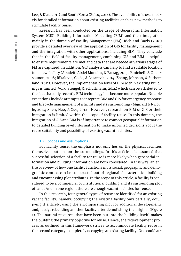Lee, & Kiat, 2011) and South Korea (Zeiss, 2014). The availability of these models for detailed information about existing facilities enables new methods to stimulate facility reuse.

Research has been conducted on the usage of Geographic Information System (GIS), Building Information Modelling (BIM) and their integration mainly in the domain of Facility Management (FM). Rich and Davis (2010) provide a detailed overview of the application of GIS for facility management and the integration with other applications, including BIM. They conclude that in the field of facility management, combining GIS and BIM is helpful to ensure requirements are met and data that are needed at various stages of FM are captured. In addition, GIS analysis can help to find a suitable location for a new facility (Abudeif, Abdel Moneim, & Farrag, 2015; Panichelli & Gnansounou, 2008; Rikalovic, Cosic, & Lazarevic, 2014; Zhang, Johnson, & Sutherland, 2011). However, the implementation level of BIM within existing buildings is limited (Volk, Stengel, & Schultmann, 2014) which can be attributed to the fact that only recently BIM technology has become more popular. Notable exceptions include attempts to integrate BIM and GIS for emergency response and lifecycle management of a facility and its surroundings (Mignard & Nicolle, 2014; Shen, Hao, & Xue, 2012). However, research on BIM or GIS or their integration is limited within the scope of facility reuse. In this domain, the integration of GIS and BIM is of importance to connect geospatial information to detailed building level information to make informed decisions about the reuse suitability and possibility of existing vacant facilities.

#### **1.2 Scopes and assumptions**

For facility reuse, the emphasis not only lies on the physical facilities themselves but also on the surroundings. In this article it is assumed that successful selection of a facility for reuse is more likely when geospatial information and building information are both considered. In this way, an entire overview of how one facility functions in its social, geographic and demographic context can be constructed out of regional characteristics, building and encompassing plot attributes. In the scope of this article, a facility is considered to be a commercial or institutional building and its surrounding plot of land. And in one region, there are enough vacant facilities for reuse.

In this research, four general types of reuse are identified for an existing vacant facility, namely: occupying the existing facility only partially, occupying it entirely, using the encompassing plot for additional developments and, lastly, rebuilding another facility after demolishing the original (Figure 1). The natural resources that have been put into the building itself, makes the building the primary objective for reuse. Hence, the redevelopment process as outlined in this framework strives to accommodate facility reuse in the second category: completely occupying an existing facility. One could ar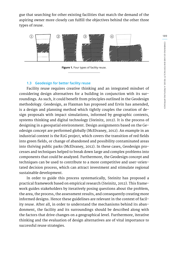gue that searching for other existing facilities that match the demand of the aspiring owner more closely can fulfill the objectives behind the other three types of reuse.



**Figure 1.** Four types of facility reuse.

#### **1.3 Geodesign for better facility reuse**

Facility reuse requires creative thinking and an integrated mindset of considering design alternatives for a building in conjunction with its surroundings. As such, it could benefit from principles outlined in the Geodesign methodology. Geodesign, as Flaxman has proposed and Ervin has amended, is a design and planning method which tightly couples the creation of design proposals with impact simulations, informed by geographic contexts, systems thinking and digital technology (Steinitz, 2012). It is the process of designing in a geospatial environment. Design assignments based on the Geodesign concept are performed globally (McElvaney, 2012). An example in an industrial context is the R2G project, which covers the transition of red fields into green fields, or change of abandoned and possibility contaminated areas into thriving public parks (McElvaney, 2012). In these cases, Geodesign processes and techniques helped to break down large and complex problems into components that could be analyzed. Furthermore, the Geodesign concept and techniques can be used to contribute to a more competitive and user-orientated decision process, which can attract investment and stimulate regional sustainable development.

In order to guide this process systematically, Steinitz has proposed a practical framework based on empirical research (Steinitz, 2012). This framework guides stakeholders by iteratively posing questions about the problem, the area, the process, the assessment results, and consequently creating more informed designs. Hence these guidelines are relevant in the context of facility reuse. After all, in order to understand the mechanisms behind its abandonment, the facility and its surroundings should be described along with the factors that drive changes on a geographical level. Furthermore, iterative thinking and the evaluation of design alternatives are of vital importance to successful reuse strategies.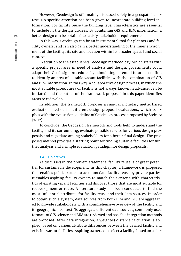However, Geodesign is still mainly discussed solely in a geospatial context. No specific attention has been given to incorporate building level information. For facility reuse the building level characteristics are essential to include in the design process. By combining GIS and BIM information, a better design can be obtained to satisfy stakeholder requirements.

In this way, Geodesign can be an instrumental tool for planners and facility owners, and can also gain a better understanding of the inner environment of the facility, its site and location within its broader spatial and social context.

In addition to the established Geodesign methodology, which starts with a specific project area in need of analysis and design, governments could adapt their Geodesign procedures by stimulating potential future users first to identify an area of suitable vacant facilities with the combination of GIS and BIM information. In this way, a collaborative design process, in which the most suitable project area or facility is not always known in advance, can be initiated, and the output of the framework proposed in this paper identifies areas to redevelop.

In addition, the framework proposes a singular monetary metric based evaluation method for different design proposal evaluations, which complies with the evaluation guideline of Geodesign process proposed by Steinitz (2012).

To conclude, the Geodesign framework and tools help to understand the facility and its surrounding, evaluate possible results for various design proposals and negotiate among stakeholders for a better final design. The proposed method provides a starting point for finding suitable facilities for further analysis and a simple evaluation paradigm for design proposals.

#### **1.4 Objectives**

As discussed in the problem statement, facility reuse is of great potential for sustainable development. In this chapter, a framework is proposed that enables public parties to accommodate facility reuse by private parties. It enables aspiring facility owners to match their criteria with characteristics of existing vacant facilities and discover those that are most suitable for redevelopment or reuse. A literature study has been conducted to find the most influential attributes for facility reuse and their data sources. In order to obtain such a system, data sources from both BIM and GIS are aggregated to provide stakeholders with a comprehensive overview of the facility and its geographical context. To aggregate different data sources, commonly used formats of GIS science and BIM are reviewed and possible integration methods are proposed. After data integration, a weighted distance calculation is applied, based on various attribute differences between the desired facility and existing vacant facilities. Aspiring owners can select a facility, based on a sin-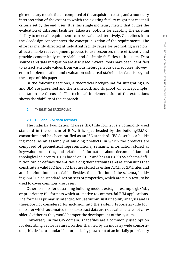**191** COMBINING GIS AND BIM FOR FACILITY REUSE: A PROFILING APPROACH **COMBINING GIS AND BIM FOR FACILITY REUSE: A PROFILING APPROACH**

gle monetary metric that is composed of the acquisition costs, and a monetary interpretation of the extent to which the existing facility might not meet all criteria set by the end-user. It is this single monetary metric that guides the evaluation of different facilities. Likewise, options for adapting the existing facility to meet all requirements can be evaluated iteratively. Guidelines from the Geodesign concept steer the conceptualization of the requirements. The effort is mainly directed at industrial facility reuse for promoting a regional sustainable redevelopment process to use resources more efficiently and provide economically more viable and desirable facilities to its users. Data sources and data integration are discussed. Several tools have been identified to extract attribute values from various heterogeneous data sources. However, an implementation and evaluation using real stakeholder data is beyond the scope of this paper.

In the following sections, a theoretical background for integrating GIS and BIM are presented and the framework and its proof-of-concept implementation are discussed. The technical implementation of the extractions shows the viability of the approach.

#### **2. THEORETICAL BACKGROUND**

## **2.1 GIS and BIM data formats**

The Industry Foundation Classes (IFC) file format is a commonly used standard in the domain of BIM. It is spearheaded by the buildingSMART consortium and has been ratified as an ISO standard. IFC describes a building model as an assembly of building products, in which the products are composed of geometrical representations, semantic information stored as key-value properties, and relational information about decomposition and topological adjacency. IFC is based on STEP and has an EXPRESS schema definition, which defines the entities along their attributes and relationships that constitute a valid IFC file. IFC files are stored as either ASCII or XML files and are therefore human readable. Besides the definition of the schema, buildingSMART also standardises on sets of properties, which are plain text, to be used to cover common-use cases.

Other formats for describing building models exist, for example gbXML , or proprietary file formats which are native to commercial BIM applications. The former is primarily intended for use within sustainability analysis and is therefore not considered for inclusion into the system. Proprietary file formats, for which automated tools to extract data are not available, are not considered either as they would hamper the development of the system.

Conversely, in the GIS domain, shapefiles are a commonly used option for describing vector features. Rather than led by an industry wide consortium, this de facto standard has organically grown out of an initially proprietary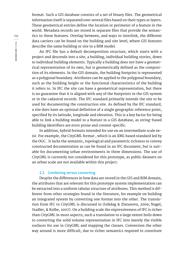format. Such a GIS database consists of a set of binary files. The geometrical information itself is separated over several files based on their types or layers. These geometrical entries define the location or perimeter of a feature in the world. Metadata records are stored in separate files that provide the semantics to these features. Overlap between, and ways to interlink, the different data carriers can be found on the building and site level, where GIS features describe the same building or site in a BIM model.

An IFC file has a default decomposition structure, which starts with a project and descends into a site, a building, individual building stories, down to individual building elements. Typically a building does not have a geometrical representation of its own, but is geometrically defined as the composition of its elements. In the GIS domain, the building footprint is represented as a polygonal boundary. Attributes can be applied to the polygonal boundary, such as the building height or the functional characteristics of the building it refers to. In IFC the site can have a geometrical representation, but there is no guarantee that it is aligned with any of the footprints in the GIS system or in the cadastral records. The IFC standard primarily intends the site to be used for documenting the construction site. As defined by the IFC standard, a site does have an optional definition of a single geographic reference point, specified by its latitude, longitude and elevation. This is a key factor for being able to link a building model to a feature in a GIS database, as string-based building identifiers are error prone and context specific.

In addition, hybrid formats intended for use on an intermediate scale exist. For example, the CityGML format , which is an XML based standard led by the OGC . It lacks the semantic, topological and parametric richness to convey constructed documentation as can be found in an IFC document, but is suitable for documenting urban environments in three dimensions. The use of CityGML is currently not considered for this prototype, as public datasets on an urban scale are not available within this project.

#### **2.2 Combining versus converting**

Despite the differences in how data are stored in the GIS and BIM domain, the attributes that are relevant for this prototype system implementation can be extracted into a uniform tabular structure of attributes. This method is different from other strategies found in the literature, for example on building an integrated system by converting one format into the other. The translation from IFC to CityGML is discussed in (Isikdag & Zlatanova, 2009; Nagel, Stadler, & Kolbe, 2007). On a building scale the expressiveness of IFC is richer than CityGML in most aspects; such a translation to a large extent boils down to converting the solid volume representation in IFC into merely the visible surfaces for use in CityGML and mapping the classes. Conversion the other way around is more difficult, due to richer semantics required to constitute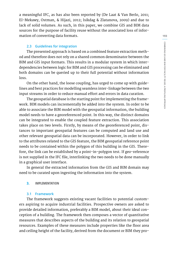a meaningful IFC, as has also been reported by (De Laat & Van Berlo, 2011; EI-Mekawy, Ostman, & Hijazi, 2012; Isikdag & Zlatanova, 2009) and due to lack of solid volumes. As such, in this paper, we combine GIS and BIM data sources for the purpose of facility reuse without the associated loss of information of converting data formats.

## **2.3 Guidelines for integration**

The presented approach is based on a combined feature extraction method and therefore does not rely on a shared common denominator between the BIM and GIS input formats. This results in a modular system in which interdependencies between logic for BIM and GIS processing can be eliminated and both domains can be queried up to their full potential without information loss.

On the other hand, the loose coupling, has urged to come up with guidelines and best practices for modelling seamless inter-linkage between the two input streams in order to reduce manual effort and errors in data curation.

The geospatial database is the starting point for implementing the framework. BIM models can incrementally be added into the system. In order to be able to associate the BIM model with the geospatial information, the building model needs to have a georeferenced point. In this way, the distinct domains can be integrated to enable the coupled feature extraction. This association takes place on two levels. Firstly, by means of the georeferenced point, distances to important geospatial features can be computed and land use and other relevant geospatial data can be incorporated. However, in order to link to the attributes related to the GIS feature, the BIM geospatial reference point needs to be contained within the polygon of this building in the GIS. Therefore, the link can be established by a point-in-polygon test. If geo-reference is not supplied in the IFC file, interlinking the two needs to be done manually in a graphical user interface.

In general the extracted information from the GIS and BIM domain may need to be curated upon ingesting the information into the system.

#### **3. IMPLEMENTATION**

#### **3.1 Framework**

The framework suggests existing vacant facilities to potential customers aspiring to acquire industrial facilities. Prospective owners are asked to provide detailed information, preferably a BIM model, about their ideal conception of a building. The framework then composes a vector of quantitative measures that describes aspects of the building and its relation to geospatial resources. Examples of these measures include properties like the floor area and ceiling height of the facility, derived from the document or BIM they pro-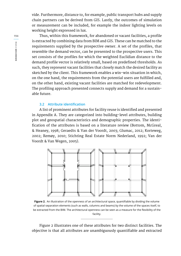vide. Furthermore, distance to, for example, public transport hubs and supply chain partners can be derived from GIS. Lastly, the outcomes of simulation or measurement can be included, for example the indoor lighting levels on working height expressed in lux.

Thus, within this framework, for abandoned or vacant facilities, a profile is extracted by combining data from BIM and GIS. These can be matched to the requirements supplied by the prospective owner. A set of the profiles, that resemble the demand vector, can be presented to the prospective users. This set consists of the profiles for which the weighted Euclidian distance to the demand profile vector is relatively small, based on predefined thresholds. As such, they represent vacant facilities that closely match the desired facility as sketched by the client. This framework enables a win-win situation in which, on the one hand, the requirements from the potential users are fulfilled and, on the other hand, existing vacant facilities are matched for redevelopment. The profiling approach presented connects supply and demand for a sustainable future.

#### **3.2 Attribute identification**

A list of prominent attributes for facility reuse is identified and presented in Appendix A. They are categorized into building-level attributes, building plot and geospatial characteristics and demographic properties. The identification of the attributes is based on a literature review (Bottom, McGreal, & Heaney, 1998; Geraedts & Van der Voordt, 2003; Glumac, 2012; Korteweg, 2002; Remøy, 2010; Stichting Real Estate Norm Nederland, 1992; Van der Voordt & Van Wegen, 2005).



**Figure 2.** An illustration of the openness of an architectural space, quantifiable by dividing the volume of spatial separation elements (such as walls, columns and beams) by the volume of the spaces itself, to be extracted from the BIM. The architectural openness can be seen as a measure for the flexibility of the facility.

Figure 2 illustrates one of these attributes for two distinct facilities. The objective is that all attributes are unambiguously quantifiable and extracted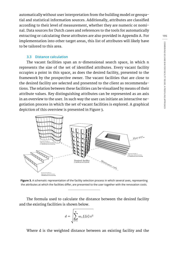automatically without user interpretation from the building model or geospatial and statistical information sources. Additionally, attributes are classified according to their level of measurement, whether they are numeric or nominal. Data sources for Dutch cases and references to the tools for automatically extracting or calculating these attributes are also provided in Appendix A. For implementation into other target areas, this list of attributes will likely have to be tailored to this area.

#### **3.3 Distance calculation**

The vacant facilities span an n-dimensional search space, in which n represents the size of the set of identified attributes. Every vacant facility occupies a point in this space, as does the desired facility, presented to the framework by the prospective owner. The vacant facilities that are close to the desired facility are selected and presented to the client as recommendations. The relation between these facilities can be visualized by means of their attribute values. Key distinguishing attributes can be represented as an axis in an overview to the user. In such way the user can initiate an interactive negotiation process in which the set of vacant facilities is explored. A graphical depiction of this overview is presented in Figure 3.



**Figure 3.** A schematic representation of the facility selection process in which several axes, representing the attributes at which the facilities differ, are presented to the user together with the renovation costs.

The formula used to calculate the distance between the desired facility and the existing facilities is shown below.

$$
d = \sqrt{\sum_{i=1}^{n} \omega_i f_i(x) x^2}
$$

Where d is the weighted distance between an existing facility and the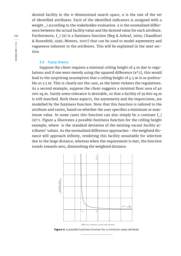desired facility in the n-dimensional search space, n is the size of the set of identified attributes. Each of the identified indicators is assigned with a weight i according to the stakeholder evaluation. x is the normalized difference between the actual facility value and the desired value for each attribute. Furthermore, f\_i (x) is a fuzziness function (Beg & Ashraf, 2009; Chaudhuri & Rosenfeld, 1996; Montes, 2007) that can be used to model asymmetry and vagueness inherent to the attributes. This will be explained in the next section.

## **3.4 Fuzzy theory**

Suppose the client requires a minimal ceiling height of  $4$  m due to regulations and if one were merely using the squared difference  $(x^2)$ , this would lead to the surprising assumption that a ceiling height of 4.5 m is as preferable as 3.5 m. This is clearly not the case, as the latter violates the regulations. As a second example, suppose the client suggests a minimal floor area of 40 000 sq.m. Surely some tolerance is desirable, so that a facility of 39 800 sq.m is still matched. Both these aspects, the asymmetry and the imprecision, are modelled by the fuzziness function. Note that this function is tailored to the attribute and varies, based on whether the user specifies a minimum or maximum value. In some cases this function can also simply be a constant f i (x)=1. Figure 4 illustrates a possible fuzziness function for the ceiling height example, where is the standard deviation of the existing vacant facility attributes' values. As the normalized difference approaches - the weighted distance will approach infinity, rendering this facility unsuitable for selection due to the large distance, whereas when the requirement is met, the function trends towards zero, diminishing the weighted distance.



**Figure 4.** A possible fuzziness function for a minimum value attribute.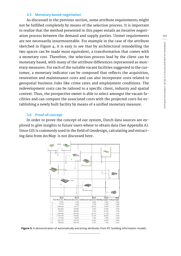#### **3.5 Monetary based negotiation**

As discussed in the previous section, some attribute requirements might not be fulfilled completely by means of the selection process. It is important to realize that the method presented in this paper entails an iterative negotiation process between the demand and supply parties. Unmet requirements are not necessarily insurmountable. For example in the case of the attribute sketched in Figure 4, it is easy to see that by architectural remodelling the two spaces can be made more equivalent, a transformation that comes with a monetary cost. Therefore, the selection process lead by the client can be monetary based, with many of the attribute differences represented as monetary measures. For each of the suitable vacant facilities suggested to the customer, a monetary indicator can be composed that reflects the acquisition, renovation and maintenance costs and can also incorporate costs related to geospatial business risks like crime rates and employment conditions. The redevelopment costs can be tailored to a specific client, industry and spatial context. Thus, the prospective owner is able to select amongst the vacant facilities and can compare the associated costs with the projected costs for establishing a newly built facility by means of a unified monetary measure.

#### **3.6 Proof-of-concept**

In order to prove the concept of our system, Dutch data sources are explored to give insights to future users where to obtain data (See Appendix A). Since GIS is commonly used in the field of Geodesign, calculating and extracting data from ArcMap is not discussed here.



**Figure 5.** A demonstration of automatically extracting attributes from IFC building information models.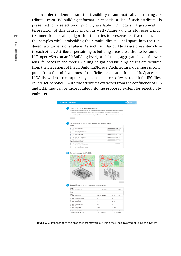In order to demonstrate the feasibility of automatically extracting attributes from IFC building information models, a list of such attributes is presented for a selection of publicly available IFC models . A graphical interpretation of this data is shown as well (Figure 5). This plot uses a multi-dimensional scaling algorithm that tries to preserve relative distances of the samples while embedding their multi-dimensional space into the rendered two-dimensional plane. As such, similar buildings are presented close to each other. Attributes pertaining to building areas are either to be found in IfcPropertySets on an IfcBuilding level, or if absent, aggregated over the various IfcSpaces in the model. Ceiling height and building height are deduced from the Elevations of the IfcBuildingStoreys. Architectural openness is computed from the solid volumes of the IfcRepresentationItems of IfcSpaces and IfcWalls, which are computed by an open source software toolkit for IFC files, called IfcOpenShell . With the attributes extracted from the confluence of GIS and BIM, they can be incorporated into the proposed system for selection by end-users.

|                                                                                                                                                                                                                                            |                       |                           |                        | TU/e      |
|--------------------------------------------------------------------------------------------------------------------------------------------------------------------------------------------------------------------------------------------|-----------------------|---------------------------|------------------------|-----------|
|                                                                                                                                                                                                                                            |                       |                           |                        |           |
| Upload a model of your desired facility                                                                                                                                                                                                    |                       |                           |                        |           |
| A list of building-related attributes will be automatically extracted from your building model that will guid the search for existing vacant facilities.                                                                                   |                       |                           |                        |           |
| If you do not have a digital building information model you can provide a list of building-related attributes that are important yourself.                                                                                                 |                       |                           |                        |           |
| If your building model is geolocated, information from the GIS system is imported. Otherwise, a target location can be specified to gather the data<br>from or, alternatively, a list of attributes related to the surroundings c<br>sell. |                       |                           |                        |           |
| Upload model                                                                                                                                                                                                                               |                       |                           |                        |           |
|                                                                                                                                                                                                                                            |                       |                           |                        |           |
|                                                                                                                                                                                                                                            |                       |                           |                        |           |
| 2. Review the list of extracted attributes and apply weights                                                                                                                                                                               |                       |                           |                        |           |
| <b>Building</b>                                                                                                                                                                                                                            |                       |                           |                        |           |
| Layout<br>v.<br>$\overline{s}$<br>B-11 Net floor area                                                                                                                                                                                      |                       | approximately $\sim$ 5000 | w                      |           |
| v<br>$\overline{\phantom{a}}$<br>B-12 Restroom floor area                                                                                                                                                                                  |                       | at least<br>$\sim$        | n.<br>300              |           |
| $\Box$<br>B-13 Architectural openness                                                                                                                                                                                                      |                       |                           |                        |           |
| $\Box$<br>B-14 Building height                                                                                                                                                                                                             |                       |                           |                        |           |
| W.<br>4 B-15 Ceiling height<br><b>Perind</b>                                                                                                                                                                                               |                       | at least                  | $-26$<br>$\mathbf{r}$  |           |
| v<br>3 B-21 Year of construction                                                                                                                                                                                                           |                       | at most                   | $-1990$                |           |
| B<br>B-2.2 Last renovation year                                                                                                                                                                                                            |                       |                           |                        |           |
| 1 B-2.3 Vacancy period<br>V.                                                                                                                                                                                                               |                       | $= 2$<br>at most          |                        | years     |
| Extrance, accessibility, circulation<br>V.<br>3 B-3.1 Private entrance                                                                                                                                                                     |                       |                           | yes -                  |           |
| E)<br>B-3.2 Reception and waiting area                                                                                                                                                                                                     |                       |                           |                        |           |
| $\mathbb{R}$<br>B-3.3 Loading bay                                                                                                                                                                                                          |                       |                           |                        |           |
| $\overline{a}$<br>B-3.4 Accordible for the disabled                                                                                                                                                                                        |                       |                           |                        |           |
|                                                                                                                                                                                                                                            |                       |                           |                        |           |
|                                                                                                                                                                                                                                            |                       |                           |                        |           |
|                                                                                                                                                                                                                                            |                       |                           |                        | Show more |
| Show differences in attributes and estimate costs                                                                                                                                                                                          |                       |                           |                        |           |
| <b>General</b>                                                                                                                                                                                                                             |                       |                           |                        |           |
| G-11 Acquisition costs<br>v<br>G-12 Maintenance cost                                                                                                                                                                                       | £170,000<br>£522,000  |                           | 61420-000<br>6.412,000 |           |
| <b>Building</b>                                                                                                                                                                                                                            |                       |                           |                        |           |
| Layout                                                                                                                                                                                                                                     |                       |                           |                        |           |
| v.<br>$B-1.1$<br>Net floor area                                                                                                                                                                                                            | $4551$ $m2$<br>£22450 | $4815$ $m3$               | € 9 250                |           |
| $\Box$<br>$B - 1.2$<br>Restroom floor area<br>E)<br>$B - 4.3$<br>Architectural openness                                                                                                                                                    | 130<br>w.<br>$_{0.9}$ | $130 -$<br>$m^2$<br>0.81  |                        |           |
| m<br>B-14 Building height                                                                                                                                                                                                                  | 6.2<br>$\overline{a}$ | 16.8<br>$\omega$          |                        |           |
| B-15 Cellingheight                                                                                                                                                                                                                         | 3<br>$\mathbf{m}$     | 28<br>$\mathbf{m}$        |                        |           |
| Period                                                                                                                                                                                                                                     |                       |                           |                        |           |
| B-2.1 Year of construction                                                                                                                                                                                                                 | 2000                  | 1992                      |                        |           |
| B-2.2 Last renovation year<br>B-2.3 Vacancy period                                                                                                                                                                                         | 1.7 years             | $1.2\,$<br>years          |                        |           |
| Entrance, accessibility, circulation<br>St. B-3.1 Private entrance                                                                                                                                                                         |                       | Fa's                      | 6.23.000               |           |

Figure 6. A screenshot of the proposed framework outlining the steps involved of using the system.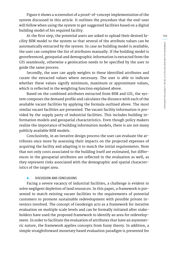Figure 6 shows a screenshot of a proof-of-concept implementation of the system discussed in this article. It outlines the procedure that the end-user will follow when using the system to get suggested facilities based on a digital building model of his required facility.

At the first step, the potential users are asked to upload their desired facility BIM model to the system so that several of the attribute values can be automatically extracted by the system. In case no building model is available, the user can complete the list of attributes manually. If the building model is georeferenced, geospatial and demographic information is extracted from the GIS seamlessly, otherwise a geolocation needs to be specified by the user to guide the same process.

Secondly, the user can apply weights to these identified attributes and curate the extracted values where necessary. The user is able to indicate whether these values signify minimum, maximum or approximate values, which is reflected in the weighting function explained above.

Based on the combined attributes extracted from BIM and GIS, the system composes the demand profile and calculates the distance with each of the available vacant facilities by applying the formula outlined above. The most similar vacant facilities are presented. The vacant facility information is provided by the supply party of industrial facilities. This includes building information models and geospatial characteristics. Even though policy makers realize the importance of building information models, there is are not many publicly available BIM models.

Conclusively, in an iterative design process the user can evaluate the attributes once more by assessing their impacts on the projected expenses of acquiring the facility and adapting it to match the initial requirements. Note that not only costs associated to the building itself are estimated, but differences in the geospatial attributes are reflected in the evaluation as well, as they represent risks associated with the demographic and spatial characteristics of the target area.

## **4. DISCUSSION AND CONCLUSIONS**

Facing a severe vacancy of industrial facilities, a challenge is evident to solve negligent depletion of land resources. In this paper, a framework is presented to match existing vacant facilities to the requirements of potential customers to promote sustainable redevelopment with possible private investors involved. The concept of Geodesign acts as a framework for iterative evaluation on multiple scale levels and can be formally initiated after stakeholders have used the proposed framework to identify an area for redevelopment. In order to facilitate the evaluation of attributes that have an asymmetric nature, the framework applies concepts from fuzzy theory. In addition, a simple straightforward monetary based evaluation paradigm is presented for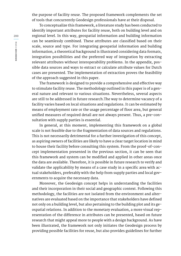the purpose of facility reuse. The proposed framework complements the set of tools that concurrently Geodesign professionals have at their disposal.

To conceptualize this framework, a literature study has been conducted to identify important attributes for facility reuse, both on building level and on regional level. In this way, geospatial information and building information can be seamlessly combined. These attributes are classified based on their scale, source and type. For integrating geospatial information and building information, a theoretical background is illustrated considering data formats, integration possibilities and the preferred way of integration by extracting relevant attributes without interoperability problems. In the appendix, possible data sources and ways to extract or calculate attribute values for Dutch cases are presented. The implementation of extraction proves the feasibility of the approach suggested in this paper.

The framework is designed to provide a comprehensive and effective way to stimulate facility reuse. The methodology outlined in this paper is of a general nature and relevant to various situations. Nevertheless, several aspects are still to be addressed in future research.The way to determine vacancy of a facility varies based on local situations and regulations. It can be estimated by means of employment rate or the usage percentage of floor area, but general unified measures of required detail are not always present. Thus, a pre-consultation with supply parties is essential.

In general, at this moment, implementing this framework on a global scale is not feasible due to the fragmentation of data sources and regulations. This is not necessarily detrimental for a further investigation of this concept, as aspiring owners of facilities are likely to have a clear target location in mind to house their facility before consulting this system. From the proof-of-concept implementation presented in the previous section, it can be seen that this framework and system can be modified and applied in other areas once the data are available. Therefore, it is possible in future research to verify and validate the applicability by means of a case study in a specific area with actual stakeholders, preferably with the help from supply parties and local governments to acquire the necessary data.

Moreover, the Geodesign concept helps in understanding the facilities and their incorporation in their social and geographic context. Following this methodology, the facilities are not isolated from the environment and alternatives are evaluated based on the importance that stakeholders have defined not only on a building level, but also pertaining to the building plot and its geospatial relations. In addition to the monetary evaluation, a more visual representation of the difference in attributes can be presented, based on future research that might appeal more to people with a design background. As have been illustrated, the framework not only initiates the Geodesign process by providing possible facilities for reuse, but also provides guidelines for further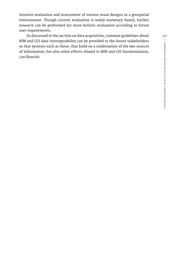iterative evaluation and assessment of various reuse designs in a geospatial environment. Though current evaluation is solely monetary-based, further research can be performed for more holistic evaluation according to future user requirements.

As discussed in the section on data acquisition, common guidelines about BIM and GIS data interoperability can be provided to the future stakeholders so that systems such as these, that build on a combination of the two sources of information, but also other efforts related to BIM and GIS harmonization, can flourish.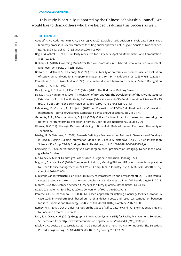#### **ACKNOWLEDGEMENTS**

This study is partially supported by the Chinese Scholarship Council. We would like to thank others who have helped us during this process as well.

#### **REFERENCES**

- Abudeif, A. M., Abdel Moneim, A. A., & Farrag, A. F. (2015). Multicriteria decision analysis based on analytic hierarchy process in GIS environment for siting nuclear power plant in Egypt. Annals of Nuclear Energy, 75, 682-692. doi:10.1016/j.anucene.2014.09.024
- Beg, I., & Ashraf, S. (2009). Similarity measures for fuzzy sets. Applied Mathematics and Computation, 8(2), 192-202.
- Blokhuis, E. (2010). Governing Multi-Actor Decision Processes in Dutch Industrial Area Redevelopment. Eindhoven University of Technology.
- Bottom, C., McGreal, S., & Heaney, G. (1998). The suitability of premises for business use: an evaluation of supply/demand variations. Property Management, 16, 134-144. doi:10.1108/02637479810232934
- Chaudhuri, B. B., & Rosenfeld, A. (1996). On a metric distance between fuzzy sets. Pattern Recognition Letters, 17, 1157-1160.

Das, J., Leng, L. E., Lee, P., & Kiat, T. C. (Eds.). (2011). The BIM Issue. Building Smart.

- De Laat, R., & Van Berlo, L. (2011). Integration of BIM and GIS: The Development of the CityGML GeoBIM Extension. In T. H. Kolbe, G. König, & C. Nagel (Eds.), Advances in 3D Geo-Information Sciences SE - 13 (pp. 211-225). Springer Berlin Heidelberg. doi:10.1007/978-3-642-12670-3\_13
- EI-Mekawy, M., Ostman, A., & Hijazi, I. (2012). An Evaluation of IFC-CityGML Unidirectional Conversion. International Journal of Advanced Computer Science and Applications, 3(5), 159-171.
- Geraedts, R. P., & Van der Voordt, D. J. M. (2003). Offices for living in: An instrument for measuring the potential for transforming offi ces into homes. Open House International, 28(3), 80-90.
- Glumac, B. (2012). Strategic Decision Modeling in Brownfield Redevelopment. Eindhoven University of Technology.
- Isikdag, U., & Zlatanova, S. (2009). Towards Defining a Framework for Automatic Generation of Buildings in CityGML Using Building Information Models. In J. Lee & S. Zlatanova (Eds.), 3D Geo-Information Sciences SE - 6 (pp. 79-96). Springer Berlin Heidelberg. doi:10.1007/978-3-540-87395-2\_6
- Korteweg, P. J. (2002). Veroudering van kantoorgebouwen: probleem of uitdaging? Nederlandse Geografische Studies
- McElvaney, S. (2012). Geodesign: Case Studies in Regional and Urban Planning. ESRI.
- Mignard, C., & Nicolle, C. (2014). Computers in Industry Merging BIM and GIS using ontologies application to urban facility management in ACTIVe3D. Computers in Industry, 65(9), 1276-1290. doi:10.1016/j. compind.2014.07.008
- Ministerie van Infrastructuur en Milieu (Ministry of Infrastructure and Environment) (2013). Ibis werklocaties de stand van zaken in planning en uitgifte van werklocaties op 1 jan. 2013 en de uitgifte in 2012. Montes, S. (2007). Distance between fuzzy sets as a fuzzy quantity. Mathematics, 14, 41-49.
- Nagel, C., Stadler, A., & Kolbe, T. (2007). Conversion of IFC to CityGML. Paris.
- Panichelli, L., & Gnansounou, E. (2008). GIS-based approach for defining bioenergy facilities location: A case study in Northern Spain based on marginal delivery costs and resources competition between facilities. Biomass and Bioenergy, 32(4), 289-300. doi:10.1016/j.biombioe.2007.10.008
- Remøy, H. T. (2010). Out of office. A Study on the Cause of Office Vacancy and Transformation as a Means to Cope and Prevent. IOS Press.
- Rich, S., & Davis, K. H. (2010). Geographic Information Systems (GIS) for Facility Management. Solutions, 55. Retrieved from http://www.ifmafoundation.org/documents/public/GIS\_WP\_FINAL.pdf
- Rikalovic, A., Cosic, I., & Lazarevic, D. (2014). GIS Based Multi-criteria Analysis for Industrial Site Selection. Procedia Engineering, 69, 1054-1063. doi:10.1016/j.proeng.2014.03.090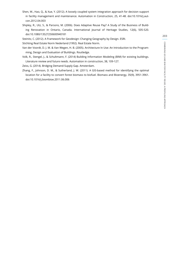- Shen, W., Hao, Q., & Xue, Y. (2012). A loosely coupled system integration approach for decision support in facility management and maintenance. Automation in Construction, 25, 41-48. doi:10.1016/j.autcon.2012.04.003
- Shipley, R., Utz, S., & Parsons, M. (2006). Does Adaptive Reuse Pay? A Study of the Business of Building Renovation in Ontario, Canada. International Journal of Heritage Studies, 12(6), 505-520. doi:10.1080/13527250600940181
- Steinitz, C. (2012). A Framework for Geodesign: Changing Geography by Design. ESRI.

Stichting Real Estate Norm Nederland (1992). Real Estate Norm.

- Van der Voordt, D. J. M. & Van Wegen, H. B. (2005). Architecture In Use: An Introduction to the Programming, Design and Evaluation of Buildings. Routledge.
- Volk, R., Stengel, J., & Schultmann, F. (2014) Building Information Modeling (BIM) for existing buildings. Literature review and future needs. Automation in construction, 38, 109-127.

Zeiss, G. (2014). Bridging Demand-Supply Gap. Amsterdam.

Zhang, F., Johnson, D. M., & Sutherland, J. W. (2011). A GIS-based method for identifying the optimal location for a facility to convert forest biomass to biofuel. Biomass and Bioenergy, 35(9), 3951-3961. doi:10.1016/j.biombioe.2011.06.006